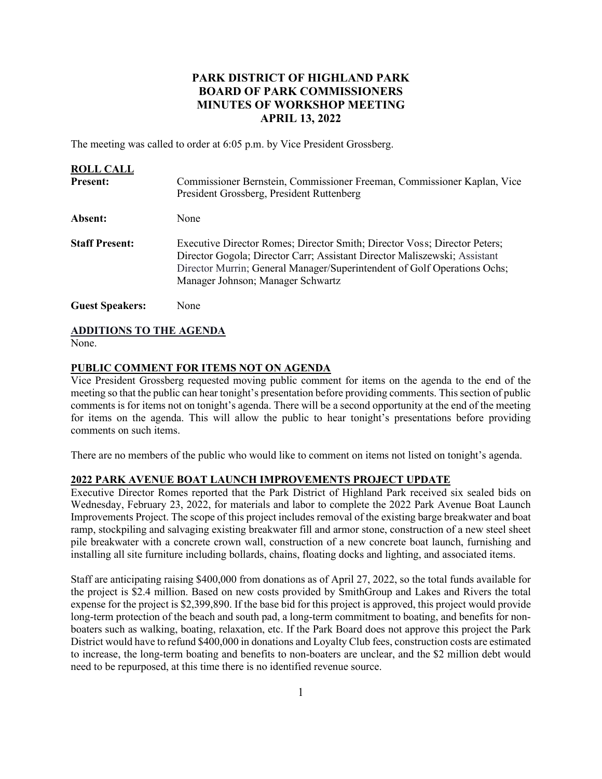# **PARK DISTRICT OF HIGHLAND PARK BOARD OF PARK COMMISSIONERS MINUTES OF WORKSHOP MEETING APRIL 13, 2022**

The meeting was called to order at 6:05 p.m. by Vice President Grossberg.

| <b>ROLL CALL</b><br><b>Present:</b> | Commissioner Bernstein, Commissioner Freeman, Commissioner Kaplan, Vice<br>President Grossberg, President Ruttenberg                                                                                                                                                    |
|-------------------------------------|-------------------------------------------------------------------------------------------------------------------------------------------------------------------------------------------------------------------------------------------------------------------------|
| Absent:                             | None                                                                                                                                                                                                                                                                    |
| <b>Staff Present:</b>               | Executive Director Romes; Director Smith; Director Voss; Director Peters;<br>Director Gogola; Director Carr; Assistant Director Maliszewski; Assistant<br>Director Murrin; General Manager/Superintendent of Golf Operations Ochs;<br>Manager Johnson; Manager Schwartz |
| <b>Guest Speakers:</b>              | None                                                                                                                                                                                                                                                                    |

# **ADDITIONS TO THE AGENDA**

None.

# **PUBLIC COMMENT FOR ITEMS NOT ON AGENDA**

Vice President Grossberg requested moving public comment for items on the agenda to the end of the meeting so that the public can hear tonight's presentation before providing comments. This section of public comments is for items not on tonight's agenda. There will be a second opportunity at the end of the meeting for items on the agenda. This will allow the public to hear tonight's presentations before providing comments on such items.

There are no members of the public who would like to comment on items not listed on tonight's agenda.

#### **2022 PARK AVENUE BOAT LAUNCH IMPROVEMENTS PROJECT UPDATE**

Executive Director Romes reported that the Park District of Highland Park received six sealed bids on Wednesday, February 23, 2022, for materials and labor to complete the 2022 Park Avenue Boat Launch Improvements Project. The scope of this project includes removal of the existing barge breakwater and boat ramp, stockpiling and salvaging existing breakwater fill and armor stone, construction of a new steel sheet pile breakwater with a concrete crown wall, construction of a new concrete boat launch, furnishing and installing all site furniture including bollards, chains, floating docks and lighting, and associated items.

Staff are anticipating raising \$400,000 from donations as of April 27, 2022, so the total funds available for the project is \$2.4 million. Based on new costs provided by SmithGroup and Lakes and Rivers the total expense for the project is \$2,399,890. If the base bid for this project is approved, this project would provide long-term protection of the beach and south pad, a long-term commitment to boating, and benefits for nonboaters such as walking, boating, relaxation, etc. If the Park Board does not approve this project the Park District would have to refund \$400,000 in donations and Loyalty Club fees, construction costs are estimated to increase, the long-term boating and benefits to non-boaters are unclear, and the \$2 million debt would need to be repurposed, at this time there is no identified revenue source.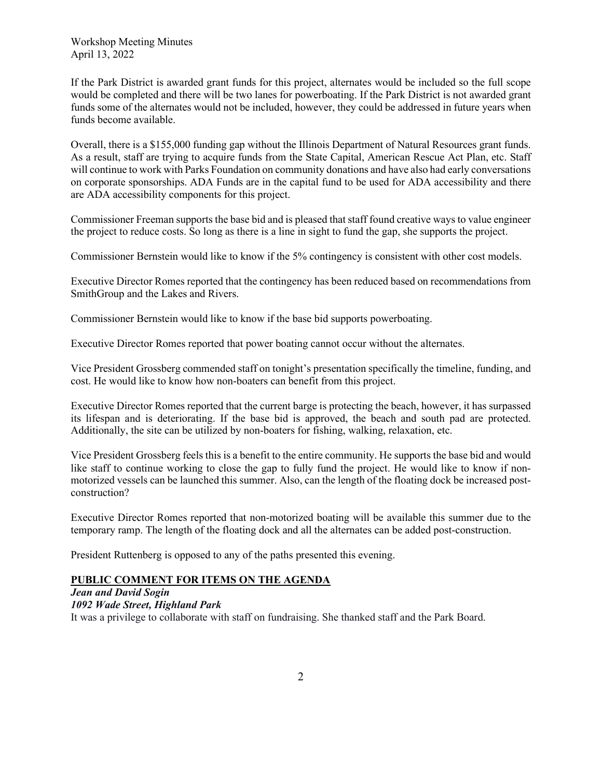Workshop Meeting Minutes April 13, 2022

If the Park District is awarded grant funds for this project, alternates would be included so the full scope would be completed and there will be two lanes for powerboating. If the Park District is not awarded grant funds some of the alternates would not be included, however, they could be addressed in future years when funds become available.

Overall, there is a \$155,000 funding gap without the Illinois Department of Natural Resources grant funds. As a result, staff are trying to acquire funds from the State Capital, American Rescue Act Plan, etc. Staff will continue to work with Parks Foundation on community donations and have also had early conversations on corporate sponsorships. ADA Funds are in the capital fund to be used for ADA accessibility and there are ADA accessibility components for this project.

Commissioner Freeman supports the base bid and is pleased that staff found creative ways to value engineer the project to reduce costs. So long as there is a line in sight to fund the gap, she supports the project.

Commissioner Bernstein would like to know if the 5% contingency is consistent with other cost models.

Executive Director Romes reported that the contingency has been reduced based on recommendations from SmithGroup and the Lakes and Rivers.

Commissioner Bernstein would like to know if the base bid supports powerboating.

Executive Director Romes reported that power boating cannot occur without the alternates.

Vice President Grossberg commended staff on tonight's presentation specifically the timeline, funding, and cost. He would like to know how non-boaters can benefit from this project.

Executive Director Romes reported that the current barge is protecting the beach, however, it has surpassed its lifespan and is deteriorating. If the base bid is approved, the beach and south pad are protected. Additionally, the site can be utilized by non-boaters for fishing, walking, relaxation, etc.

Vice President Grossberg feels this is a benefit to the entire community. He supports the base bid and would like staff to continue working to close the gap to fully fund the project. He would like to know if nonmotorized vessels can be launched this summer. Also, can the length of the floating dock be increased postconstruction?

Executive Director Romes reported that non-motorized boating will be available this summer due to the temporary ramp. The length of the floating dock and all the alternates can be added post-construction.

President Ruttenberg is opposed to any of the paths presented this evening.

# **PUBLIC COMMENT FOR ITEMS ON THE AGENDA**

*Jean and David Sogin 1092 Wade Street, Highland Park*  It was a privilege to collaborate with staff on fundraising. She thanked staff and the Park Board.